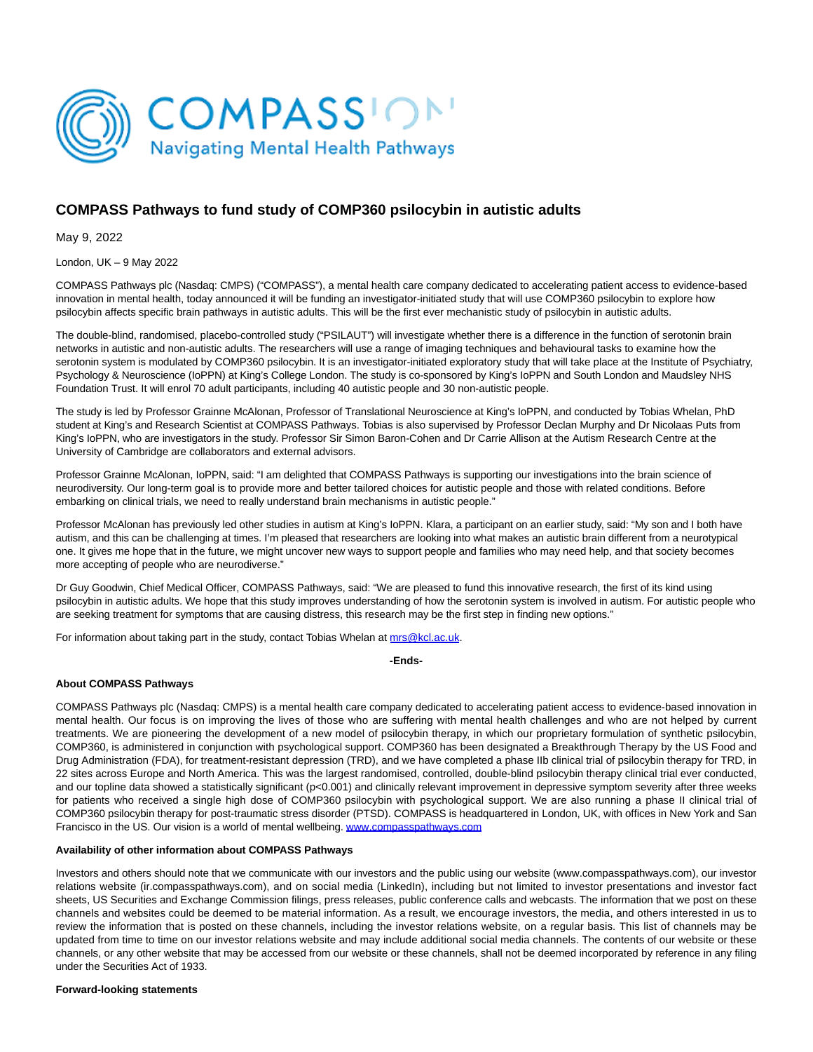

# **COMPASS Pathways to fund study of COMP360 psilocybin in autistic adults**

May 9, 2022

London, UK – 9 May 2022

COMPASS Pathways plc (Nasdaq: CMPS) ("COMPASS"), a mental health care company dedicated to accelerating patient access to evidence-based innovation in mental health, today announced it will be funding an investigator-initiated study that will use COMP360 psilocybin to explore how psilocybin affects specific brain pathways in autistic adults. This will be the first ever mechanistic study of psilocybin in autistic adults.

The double-blind, randomised, placebo-controlled study ("PSILAUT") will investigate whether there is a difference in the function of serotonin brain networks in autistic and non-autistic adults. The researchers will use a range of imaging techniques and behavioural tasks to examine how the serotonin system is modulated by COMP360 psilocybin. It is an investigator-initiated exploratory study that will take place at the Institute of Psychiatry, Psychology & Neuroscience (IoPPN) at King's College London. The study is co-sponsored by King's IoPPN and South London and Maudsley NHS Foundation Trust. It will enrol 70 adult participants, including 40 autistic people and 30 non-autistic people.

The study is led by Professor Grainne McAlonan, Professor of Translational Neuroscience at King's IoPPN, and conducted by Tobias Whelan, PhD student at King's and Research Scientist at COMPASS Pathways. Tobias is also supervised by Professor Declan Murphy and Dr Nicolaas Puts from King's IoPPN, who are investigators in the study. Professor Sir Simon Baron-Cohen and Dr Carrie Allison at the Autism Research Centre at the University of Cambridge are collaborators and external advisors.

Professor Grainne McAlonan, IoPPN, said: "I am delighted that COMPASS Pathways is supporting our investigations into the brain science of neurodiversity. Our long-term goal is to provide more and better tailored choices for autistic people and those with related conditions. Before embarking on clinical trials, we need to really understand brain mechanisms in autistic people."

Professor McAlonan has previously led other studies in autism at King's IoPPN. Klara, a participant on an earlier study, said: "My son and I both have autism, and this can be challenging at times. I'm pleased that researchers are looking into what makes an autistic brain different from a neurotypical one. It gives me hope that in the future, we might uncover new ways to support people and families who may need help, and that society becomes more accepting of people who are neurodiverse."

Dr Guy Goodwin, Chief Medical Officer, COMPASS Pathways, said: "We are pleased to fund this innovative research, the first of its kind using psilocybin in autistic adults. We hope that this study improves understanding of how the serotonin system is involved in autism. For autistic people who are seeking treatment for symptoms that are causing distress, this research may be the first step in finding new options."

For information about taking part in the study, contact Tobias Whelan at [mrs@kcl.ac.uk.](https://www.globenewswire.com/Tracker?data=RAZjKyhR1qddKhNzY-wx4atuVxGq2nk4zyMyB52AoFQTP7nC7tKC6TNN6vpITFBCu9h6xoMjTsYK-Xwf8fsPdg==)

**-Ends-**

## **About COMPASS Pathways**

COMPASS Pathways plc (Nasdaq: CMPS) is a mental health care company dedicated to accelerating patient access to evidence-based innovation in mental health. Our focus is on improving the lives of those who are suffering with mental health challenges and who are not helped by current treatments. We are pioneering the development of a new model of psilocybin therapy, in which our proprietary formulation of synthetic psilocybin, COMP360, is administered in conjunction with psychological support. COMP360 has been designated a Breakthrough Therapy by the US Food and Drug Administration (FDA), for treatment-resistant depression (TRD), and we have completed a phase IIb clinical trial of psilocybin therapy for TRD, in 22 sites across Europe and North America. This was the largest randomised, controlled, double-blind psilocybin therapy clinical trial ever conducted, and our topline data showed a statistically significant (p<0.001) and clinically relevant improvement in depressive symptom severity after three weeks for patients who received a single high dose of COMP360 psilocybin with psychological support. We are also running a phase II clinical trial of COMP360 psilocybin therapy for post-traumatic stress disorder (PTSD). COMPASS is headquartered in London, UK, with offices in New York and San Francisco in the US. Our vision is a world of mental wellbeing. [www.compasspathways.com](https://www.globenewswire.com/Tracker?data=vbiuHTNGo3tnvhp9uxLB7fEG81zBQU5DLuY40D5yFNxzceS2W7iHDSFOQsYA_mbhv64umS_Uc3frhsi-0UtVvWwd1Ti7gIf8Nhs1uk_rdJI=)

## **Availability of other information about COMPASS Pathways**

Investors and others should note that we communicate with our investors and the public using our website (www.compasspathways.com), our investor relations website (ir.compasspathways.com), and on social media (LinkedIn), including but not limited to investor presentations and investor fact sheets, US Securities and Exchange Commission filings, press releases, public conference calls and webcasts. The information that we post on these channels and websites could be deemed to be material information. As a result, we encourage investors, the media, and others interested in us to review the information that is posted on these channels, including the investor relations website, on a regular basis. This list of channels may be updated from time to time on our investor relations website and may include additional social media channels. The contents of our website or these channels, or any other website that may be accessed from our website or these channels, shall not be deemed incorporated by reference in any filing under the Securities Act of 1933.

#### **Forward-looking statements**